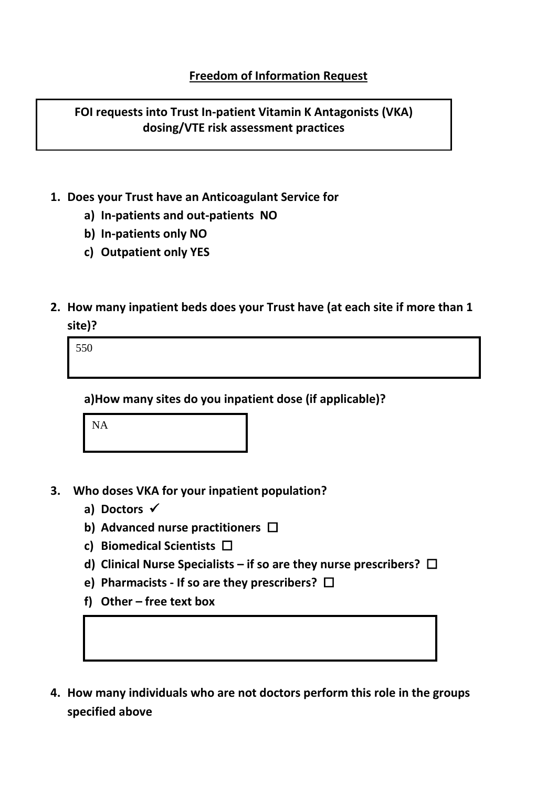**FOI requests into Trust In-patient Vitamin K Antagonists (VKA) dosing/VTE risk assessment practices**

- **1. Does your Trust have an Anticoagulant Service for** 
	- **a) In-patients and out-patients NO**
	- **b) In-patients only NO**
	- **c) Outpatient only YES**
- **2. How many inpatient beds does your Trust have (at each site if more than 1 site)?**

550

**a)How many sites do you inpatient dose (if applicable)?**

NA

- **3. Who doses VKA for your inpatient population?** 
	- **a) Doctors** ✓
	- **b) Advanced nurse practitioners**
	- **c) Biomedical Scientists**
	- **d) Clinical Nurse Specialists – if so are they nurse prescribers?**
	- **e) Pharmacists - If so are they prescribers?**
	- **f) Other – free text box**
- **4. How many individuals who are not doctors perform this role in the groups specified above**